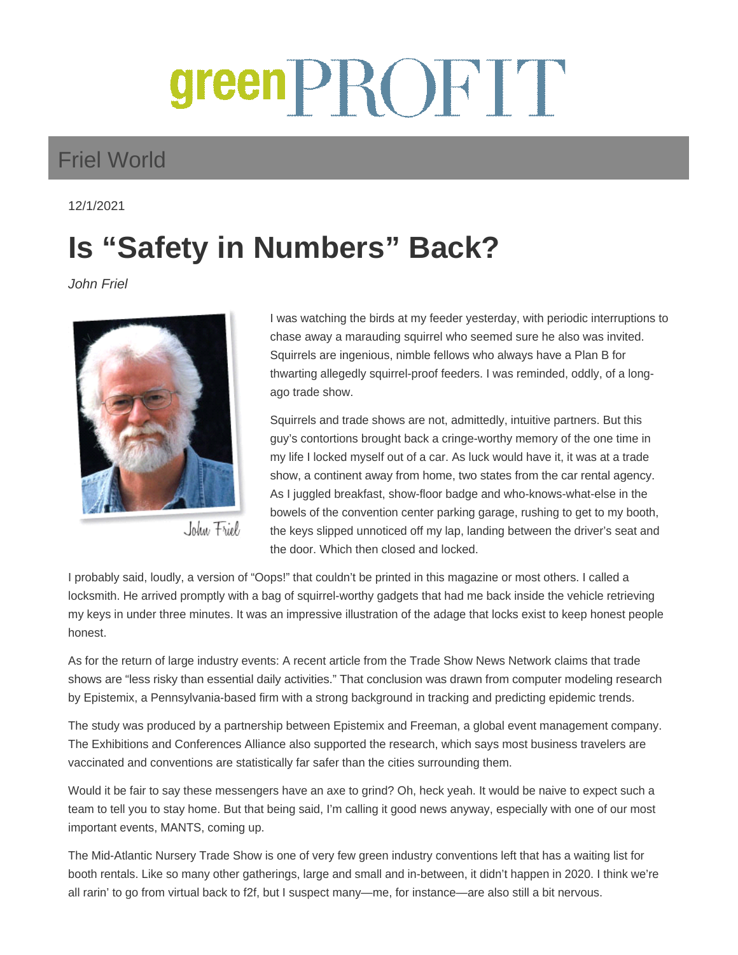## green PROFIT

## Friel World

12/1/2021

## **Is "Safety in Numbers" Back?**

John Friel



John Friel

I was watching the birds at my feeder yesterday, with periodic interruptions to chase away a marauding squirrel who seemed sure he also was invited. Squirrels are ingenious, nimble fellows who always have a Plan B for thwarting allegedly squirrel-proof feeders. I was reminded, oddly, of a longago trade show.

Squirrels and trade shows are not, admittedly, intuitive partners. But this guy's contortions brought back a cringe-worthy memory of the one time in my life I locked myself out of a car. As luck would have it, it was at a trade show, a continent away from home, two states from the car rental agency. As I juggled breakfast, show-floor badge and who-knows-what-else in the bowels of the convention center parking garage, rushing to get to my booth, the keys slipped unnoticed off my lap, landing between the driver's seat and the door. Which then closed and locked.

I probably said, loudly, a version of "Oops!" that couldn't be printed in this magazine or most others. I called a locksmith. He arrived promptly with a bag of squirrel-worthy gadgets that had me back inside the vehicle retrieving my keys in under three minutes. It was an impressive illustration of the adage that locks exist to keep honest people honest.

As for the return of large industry events: A recent article from the Trade Show News Network claims that trade shows are "less risky than essential daily activities." That conclusion was drawn from computer modeling research by Epistemix, a Pennsylvania-based firm with a strong background in tracking and predicting epidemic trends.

The study was produced by a partnership between Epistemix and Freeman, a global event management company. The Exhibitions and Conferences Alliance also supported the research, which says most business travelers are vaccinated and conventions are statistically far safer than the cities surrounding them.

Would it be fair to say these messengers have an axe to grind? Oh, heck yeah. It would be naive to expect such a team to tell you to stay home. But that being said, I'm calling it good news anyway, especially with one of our most important events, MANTS, coming up.

The Mid-Atlantic Nursery Trade Show is one of very few green industry conventions left that has a waiting list for booth rentals. Like so many other gatherings, large and small and in-between, it didn't happen in 2020. I think we're all rarin' to go from virtual back to f2f, but I suspect many—me, for instance—are also still a bit nervous.